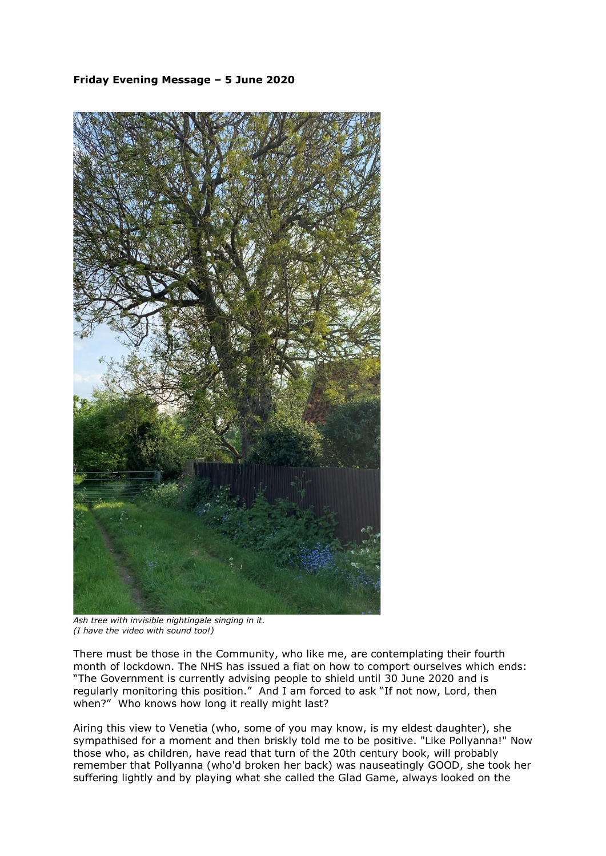## **Friday Evening Message – 5 June 2020**



*Ash tree with invisible nightingale singing in it. (I have the video with sound too!)*

There must be those in the Community, who like me, are contemplating their fourth month of lockdown. The NHS has issued a fiat on how to comport ourselves which ends: "The Government is currently advising people to shield until 30 June 2020 and is regularly monitoring this position." And I am forced to ask "If not now, Lord, then when?" Who knows how long it really might last?

Airing this view to Venetia (who, some of you may know, is my eldest daughter), she sympathised for a moment and then briskly told me to be positive. "Like Pollyanna!" Now those who, as children, have read that turn of the 20th century book, will probably remember that Pollyanna (who'd broken her back) was nauseatingly GOOD, she took her suffering lightly and by playing what she called the Glad Game, always looked on the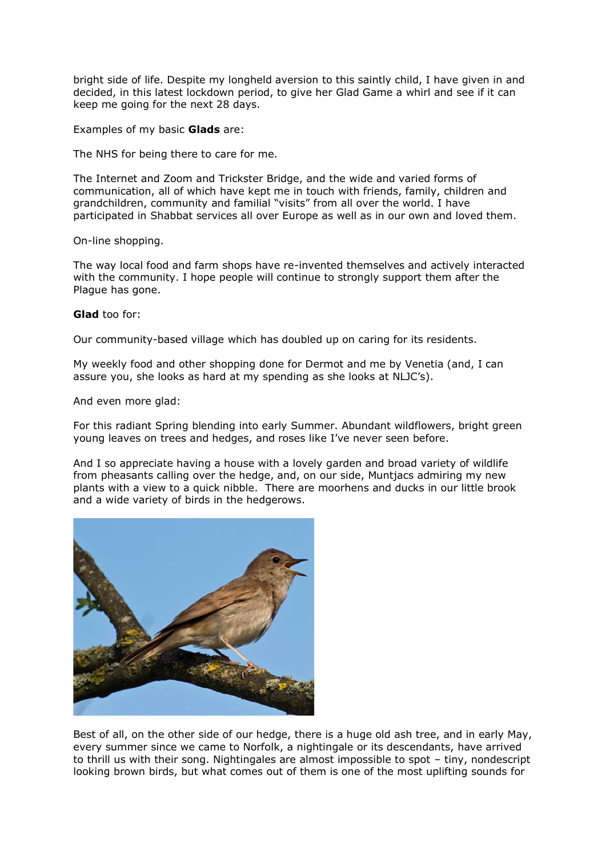bright side of life. Despite my longheld aversion to this saintly child, I have given in and decided, in this latest lockdown period, to give her Glad Game a whirl and see if it can keep me going for the next 28 days.

Examples of my basic **Glads** are:

The NHS for being there to care for me.

The Internet and Zoom and Trickster Bridge, and the wide and varied forms of communication, all of which have kept me in touch with friends, family, children and grandchildren, community and familial "visits" from all over the world. I have participated in Shabbat services all over Europe as well as in our own and loved them.

On-line shopping.

The way local food and farm shops have re-invented themselves and actively interacted with the community. I hope people will continue to strongly support them after the Plague has gone.

## **Glad** too for:

Our community-based village which has doubled up on caring for its residents.

My weekly food and other shopping done for Dermot and me by Venetia (and, I can assure you, she looks as hard at my spending as she looks at NLJC's).

And even more glad:

For this radiant Spring blending into early Summer. Abundant wildflowers, bright green young leaves on trees and hedges, and roses like I've never seen before.

And I so appreciate having a house with a lovely garden and broad variety of wildlife from pheasants calling over the hedge, and, on our side, Muntjacs admiring my new plants with a view to a quick nibble. There are moorhens and ducks in our little brook and a wide variety of birds in the hedgerows.



Best of all, on the other side of our hedge, there is a huge old ash tree, and in early May, every summer since we came to Norfolk, a nightingale or its descendants, have arrived to thrill us with their song. Nightingales are almost impossible to spot – tiny, nondescript looking brown birds, but what comes out of them is one of the most uplifting sounds for